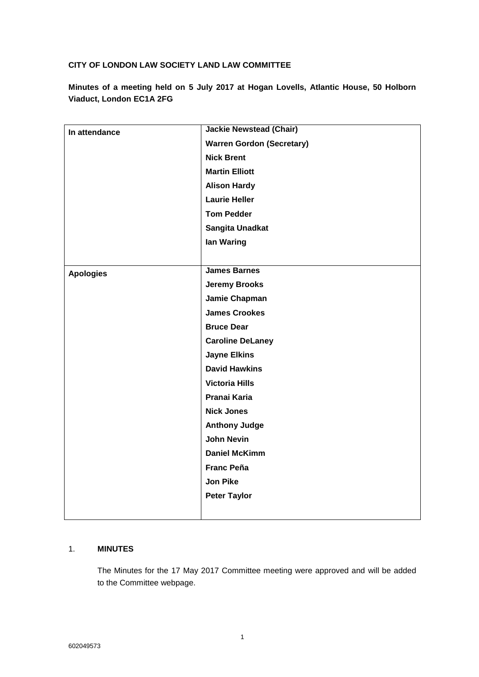### **CITY OF LONDON LAW SOCIETY LAND LAW COMMITTEE**

**Minutes of a meeting held on 5 July 2017 at Hogan Lovells, Atlantic House, 50 Holborn Viaduct, London EC1A 2FG**

| In attendance    | <b>Jackie Newstead (Chair)</b>   |
|------------------|----------------------------------|
|                  | <b>Warren Gordon (Secretary)</b> |
|                  | <b>Nick Brent</b>                |
|                  | <b>Martin Elliott</b>            |
|                  | <b>Alison Hardy</b>              |
|                  | <b>Laurie Heller</b>             |
|                  | <b>Tom Pedder</b>                |
|                  | Sangita Unadkat                  |
|                  | lan Waring                       |
|                  |                                  |
| <b>Apologies</b> | <b>James Barnes</b>              |
|                  | <b>Jeremy Brooks</b>             |
|                  | Jamie Chapman                    |
|                  | <b>James Crookes</b>             |
|                  | <b>Bruce Dear</b>                |
|                  | <b>Caroline DeLaney</b>          |
|                  | <b>Jayne Elkins</b>              |
|                  | <b>David Hawkins</b>             |
|                  | <b>Victoria Hills</b>            |
|                  | Pranai Karia                     |
|                  | <b>Nick Jones</b>                |
|                  | <b>Anthony Judge</b>             |
|                  | <b>John Nevin</b>                |
|                  | <b>Daniel McKimm</b>             |
|                  | <b>Franc Peña</b>                |
|                  | <b>Jon Pike</b>                  |
|                  | <b>Peter Taylor</b>              |
|                  |                                  |

### 1. **MINUTES**

The Minutes for the 17 May 2017 Committee meeting were approved and will be added to the Committee webpage.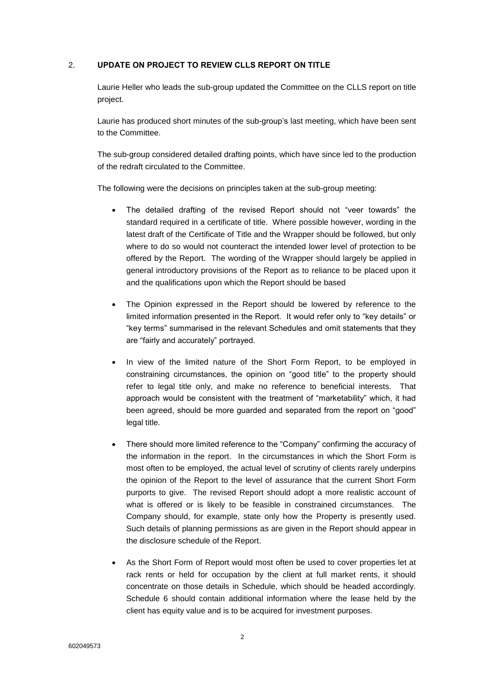### 2. **UPDATE ON PROJECT TO REVIEW CLLS REPORT ON TITLE**

Laurie Heller who leads the sub-group updated the Committee on the CLLS report on title project.

Laurie has produced short minutes of the sub-group's last meeting, which have been sent to the Committee.

The sub-group considered detailed drafting points, which have since led to the production of the redraft circulated to the Committee.

The following were the decisions on principles taken at the sub-group meeting:

- The detailed drafting of the revised Report should not "veer towards" the standard required in a certificate of title. Where possible however, wording in the latest draft of the Certificate of Title and the Wrapper should be followed, but only where to do so would not counteract the intended lower level of protection to be offered by the Report. The wording of the Wrapper should largely be applied in general introductory provisions of the Report as to reliance to be placed upon it and the qualifications upon which the Report should be based
- The Opinion expressed in the Report should be lowered by reference to the limited information presented in the Report. It would refer only to "key details" or "key terms" summarised in the relevant Schedules and omit statements that they are "fairly and accurately" portrayed.
- In view of the limited nature of the Short Form Report, to be employed in constraining circumstances, the opinion on "good title" to the property should refer to legal title only, and make no reference to beneficial interests. That approach would be consistent with the treatment of "marketability" which, it had been agreed, should be more guarded and separated from the report on "good" legal title.
- There should more limited reference to the "Company" confirming the accuracy of the information in the report. In the circumstances in which the Short Form is most often to be employed, the actual level of scrutiny of clients rarely underpins the opinion of the Report to the level of assurance that the current Short Form purports to give. The revised Report should adopt a more realistic account of what is offered or is likely to be feasible in constrained circumstances. The Company should, for example, state only how the Property is presently used. Such details of planning permissions as are given in the Report should appear in the disclosure schedule of the Report.
- As the Short Form of Report would most often be used to cover properties let at rack rents or held for occupation by the client at full market rents, it should concentrate on those details in Schedule, which should be headed accordingly. Schedule 6 should contain additional information where the lease held by the client has equity value and is to be acquired for investment purposes.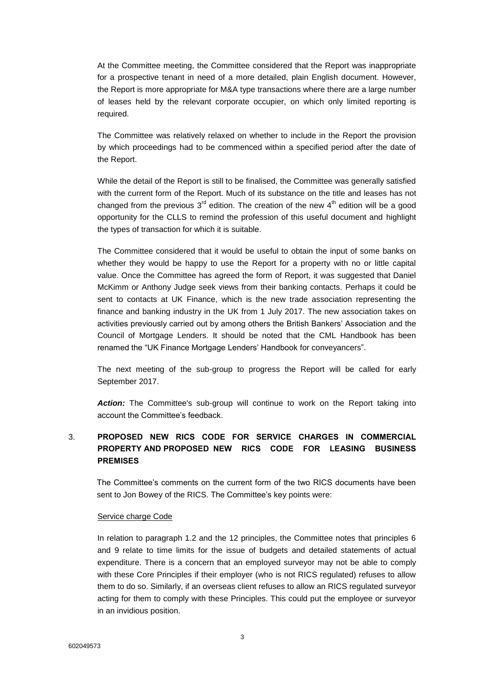At the Committee meeting, the Committee considered that the Report was inappropriate for a prospective tenant in need of a more detailed, plain English document. However, the Report is more appropriate for M&A type transactions where there are a large number of leases held by the relevant corporate occupier, on which only limited reporting is required.

The Committee was relatively relaxed on whether to include in the Report the provision by which proceedings had to be commenced within a specified period after the date of the Report.

While the detail of the Report is still to be finalised, the Committee was generally satisfied with the current form of the Report. Much of its substance on the title and leases has not changed from the previous  $3<sup>rd</sup>$  edition. The creation of the new  $4<sup>th</sup>$  edition will be a good opportunity for the CLLS to remind the profession of this useful document and highlight the types of transaction for which it is suitable.

The Committee considered that it would be useful to obtain the input of some banks on whether they would be happy to use the Report for a property with no or little capital value. Once the Committee has agreed the form of Report, it was suggested that Daniel McKimm or Anthony Judge seek views from their banking contacts. Perhaps it could be sent to contacts at UK Finance, which is the new trade association representing the finance and banking industry in the UK from 1 July 2017. The new association takes on activities previously carried out by among others the British Bankers' Association and the Council of Mortgage Lenders. It should be noted that the CML Handbook has been renamed the "UK Finance Mortgage Lenders' Handbook for conveyancers".

The next meeting of the sub-group to progress the Report will be called for early September 2017.

*Action:* The Committee's sub-group will continue to work on the Report taking into account the Committee's feedback.

## 3. **PROPOSED NEW RICS CODE FOR SERVICE CHARGES IN COMMERCIAL PROPERTY AND PROPOSED NEW RICS CODE FOR LEASING BUSINESS PREMISES**

The Committee's comments on the current form of the two RICS documents have been sent to Jon Bowey of the RICS. The Committee's key points were:

### Service charge Code

In relation to paragraph 1.2 and the 12 principles, the Committee notes that principles 6 and 9 relate to time limits for the issue of budgets and detailed statements of actual expenditure. There is a concern that an employed surveyor may not be able to comply with these Core Principles if their employer (who is not RICS regulated) refuses to allow them to do so. Similarly, if an overseas client refuses to allow an RICS regulated surveyor acting for them to comply with these Principles. This could put the employee or surveyor in an invidious position.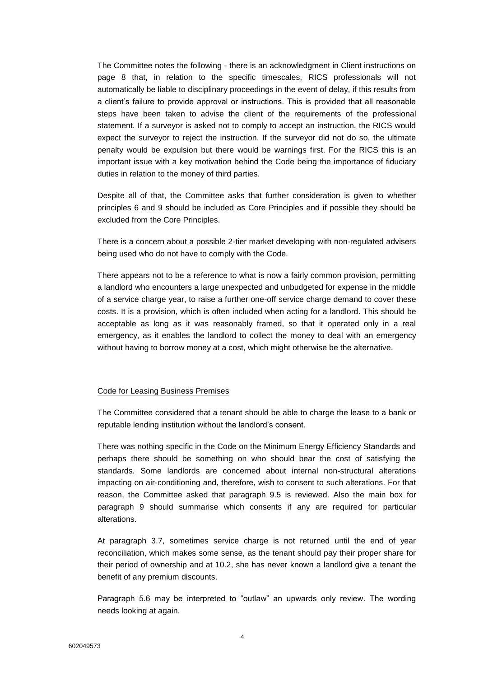The Committee notes the following - there is an acknowledgment in Client instructions on page 8 that, in relation to the specific timescales, RICS professionals will not automatically be liable to disciplinary proceedings in the event of delay, if this results from a client's failure to provide approval or instructions. This is provided that all reasonable steps have been taken to advise the client of the requirements of the professional statement. If a surveyor is asked not to comply to accept an instruction, the RICS would expect the surveyor to reject the instruction. If the surveyor did not do so, the ultimate penalty would be expulsion but there would be warnings first. For the RICS this is an important issue with a key motivation behind the Code being the importance of fiduciary duties in relation to the money of third parties.

Despite all of that, the Committee asks that further consideration is given to whether principles 6 and 9 should be included as Core Principles and if possible they should be excluded from the Core Principles.

There is a concern about a possible 2-tier market developing with non-regulated advisers being used who do not have to comply with the Code.

There appears not to be a reference to what is now a fairly common provision, permitting a landlord who encounters a large unexpected and unbudgeted for expense in the middle of a service charge year, to raise a further one-off service charge demand to cover these costs. It is a provision, which is often included when acting for a landlord. This should be acceptable as long as it was reasonably framed, so that it operated only in a real emergency, as it enables the landlord to collect the money to deal with an emergency without having to borrow money at a cost, which might otherwise be the alternative.

#### Code for Leasing Business Premises

The Committee considered that a tenant should be able to charge the lease to a bank or reputable lending institution without the landlord's consent.

There was nothing specific in the Code on the Minimum Energy Efficiency Standards and perhaps there should be something on who should bear the cost of satisfying the standards. Some landlords are concerned about internal non-structural alterations impacting on air-conditioning and, therefore, wish to consent to such alterations. For that reason, the Committee asked that paragraph 9.5 is reviewed. Also the main box for paragraph 9 should summarise which consents if any are required for particular alterations.

At paragraph 3.7, sometimes service charge is not returned until the end of year reconciliation, which makes some sense, as the tenant should pay their proper share for their period of ownership and at 10.2, she has never known a landlord give a tenant the benefit of any premium discounts.

Paragraph 5.6 may be interpreted to "outlaw" an upwards only review. The wording needs looking at again.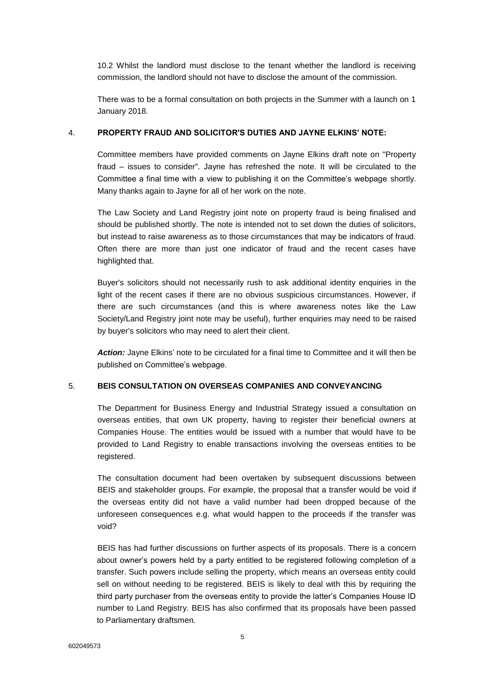10.2 Whilst the landlord must disclose to the tenant whether the landlord is receiving commission, the landlord should not have to disclose the amount of the commission.

There was to be a formal consultation on both projects in the Summer with a launch on 1 January 2018.

### 4. **PROPERTY FRAUD AND SOLICITOR'S DUTIES AND JAYNE ELKINS' NOTE:**

Committee members have provided comments on Jayne Elkins draft note on "Property fraud – issues to consider". Jayne has refreshed the note. It will be circulated to the Committee a final time with a view to publishing it on the Committee's webpage shortly. Many thanks again to Jayne for all of her work on the note.

The Law Society and Land Registry joint note on property fraud is being finalised and should be published shortly. The note is intended not to set down the duties of solicitors, but instead to raise awareness as to those circumstances that may be indicators of fraud. Often there are more than just one indicator of fraud and the recent cases have highlighted that.

Buyer's solicitors should not necessarily rush to ask additional identity enquiries in the light of the recent cases if there are no obvious suspicious circumstances. However, if there are such circumstances (and this is where awareness notes like the Law Society/Land Registry joint note may be useful), further enquiries may need to be raised by buyer's solicitors who may need to alert their client.

*Action:* Jayne Elkins' note to be circulated for a final time to Committee and it will then be published on Committee's webpage.

### 5. **BEIS CONSULTATION ON OVERSEAS COMPANIES AND CONVEYANCING**

The Department for Business Energy and Industrial Strategy issued a consultation on overseas entities, that own UK property, having to register their beneficial owners at Companies House. The entities would be issued with a number that would have to be provided to Land Registry to enable transactions involving the overseas entities to be registered.

The consultation document had been overtaken by subsequent discussions between BEIS and stakeholder groups. For example, the proposal that a transfer would be void if the overseas entity did not have a valid number had been dropped because of the unforeseen consequences e.g. what would happen to the proceeds if the transfer was void?

BEIS has had further discussions on further aspects of its proposals. There is a concern about owner's powers held by a party entitled to be registered following completion of a transfer. Such powers include selling the property, which means an overseas entity could sell on without needing to be registered. BEIS is likely to deal with this by requiring the third party purchaser from the overseas entity to provide the latter's Companies House ID number to Land Registry. BEIS has also confirmed that its proposals have been passed to Parliamentary draftsmen.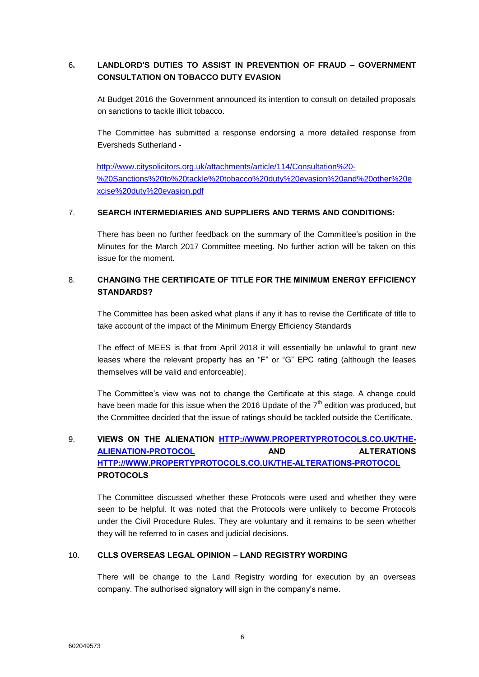### 6**. LANDLORD'S DUTIES TO ASSIST IN PREVENTION OF FRAUD – GOVERNMENT CONSULTATION ON TOBACCO DUTY EVASION**

At Budget 2016 the Government announced its intention to consult on detailed proposals on sanctions to tackle illicit tobacco.

The Committee has submitted a response endorsing a more detailed response from Eversheds Sutherland -

[http://www.citysolicitors.org.uk/attachments/article/114/Consultation%20-](http://www.citysolicitors.org.uk/attachments/article/114/Consultation%20-%20Sanctions%20to%20tackle%20tobacco%20duty%20evasion%20and%20other%20excise%20duty%20evasion.pdf) [%20Sanctions%20to%20tackle%20tobacco%20duty%20evasion%20and%20other%20e](http://www.citysolicitors.org.uk/attachments/article/114/Consultation%20-%20Sanctions%20to%20tackle%20tobacco%20duty%20evasion%20and%20other%20excise%20duty%20evasion.pdf) [xcise%20duty%20evasion.pdf](http://www.citysolicitors.org.uk/attachments/article/114/Consultation%20-%20Sanctions%20to%20tackle%20tobacco%20duty%20evasion%20and%20other%20excise%20duty%20evasion.pdf)

### 7. **SEARCH INTERMEDIARIES AND SUPPLIERS AND TERMS AND CONDITIONS:**

There has been no further feedback on the summary of the Committee's position in the Minutes for the March 2017 Committee meeting. No further action will be taken on this issue for the moment.

### 8. **CHANGING THE CERTIFICATE OF TITLE FOR THE MINIMUM ENERGY EFFICIENCY STANDARDS?**

The Committee has been asked what plans if any it has to revise the Certificate of title to take account of the impact of the Minimum Energy Efficiency Standards

The effect of MEES is that from April 2018 it will essentially be unlawful to grant new leases where the relevant property has an "F" or "G" EPC rating (although the leases themselves will be valid and enforceable).

The Committee's view was not to change the Certificate at this stage. A change could have been made for this issue when the 2016 Update of the  $7<sup>th</sup>$  edition was produced, but the Committee decided that the issue of ratings should be tackled outside the Certificate.

# 9. **VIEWS ON THE ALIENATION [HTTP://WWW.PROPERTYPROTOCOLS.CO.UK/THE-](http://www.propertyprotocols.co.uk/the-alienation-protocol)[ALIENATION-PROTOCOL](http://www.propertyprotocols.co.uk/the-alienation-protocol) AND ALTERATIONS [HTTP://WWW.PROPERTYPROTOCOLS.CO.UK/THE-ALTERATIONS-PROTOCOL](http://www.propertyprotocols.co.uk/the-alterations-protocol) PROTOCOLS**

The Committee discussed whether these Protocols were used and whether they were seen to be helpful. It was noted that the Protocols were unlikely to become Protocols under the Civil Procedure Rules. They are voluntary and it remains to be seen whether they will be referred to in cases and judicial decisions.

### 10. **CLLS OVERSEAS LEGAL OPINION – LAND REGISTRY WORDING**

There will be change to the Land Registry wording for execution by an overseas company. The authorised signatory will sign in the company's name.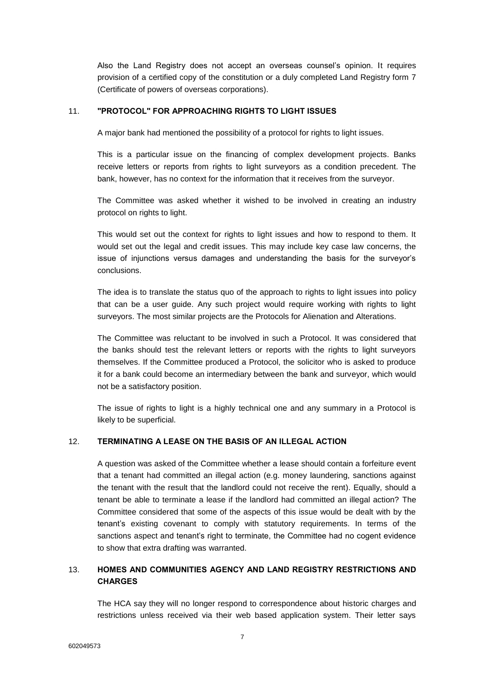Also the Land Registry does not accept an overseas counsel's opinion. It requires provision of a certified copy of the constitution or a duly completed Land Registry form 7 (Certificate of powers of overseas corporations).

#### 11. **"PROTOCOL" FOR APPROACHING RIGHTS TO LIGHT ISSUES**

A major bank had mentioned the possibility of a protocol for rights to light issues.

This is a particular issue on the financing of complex development projects. Banks receive letters or reports from rights to light surveyors as a condition precedent. The bank, however, has no context for the information that it receives from the surveyor.

The Committee was asked whether it wished to be involved in creating an industry protocol on rights to light.

This would set out the context for rights to light issues and how to respond to them. It would set out the legal and credit issues. This may include key case law concerns, the issue of injunctions versus damages and understanding the basis for the surveyor's conclusions.

The idea is to translate the status quo of the approach to rights to light issues into policy that can be a user guide. Any such project would require working with rights to light surveyors. The most similar projects are the Protocols for Alienation and Alterations.

The Committee was reluctant to be involved in such a Protocol. It was considered that the banks should test the relevant letters or reports with the rights to light surveyors themselves. If the Committee produced a Protocol, the solicitor who is asked to produce it for a bank could become an intermediary between the bank and surveyor, which would not be a satisfactory position.

The issue of rights to light is a highly technical one and any summary in a Protocol is likely to be superficial.

#### 12. **TERMINATING A LEASE ON THE BASIS OF AN ILLEGAL ACTION**

A question was asked of the Committee whether a lease should contain a forfeiture event that a tenant had committed an illegal action (e.g. money laundering, sanctions against the tenant with the result that the landlord could not receive the rent). Equally, should a tenant be able to terminate a lease if the landlord had committed an illegal action? The Committee considered that some of the aspects of this issue would be dealt with by the tenant's existing covenant to comply with statutory requirements. In terms of the sanctions aspect and tenant's right to terminate, the Committee had no cogent evidence to show that extra drafting was warranted.

### 13. **HOMES AND COMMUNITIES AGENCY AND LAND REGISTRY RESTRICTIONS AND CHARGES**

The HCA say they will no longer respond to correspondence about historic charges and restrictions unless received via their web based application system. Their letter says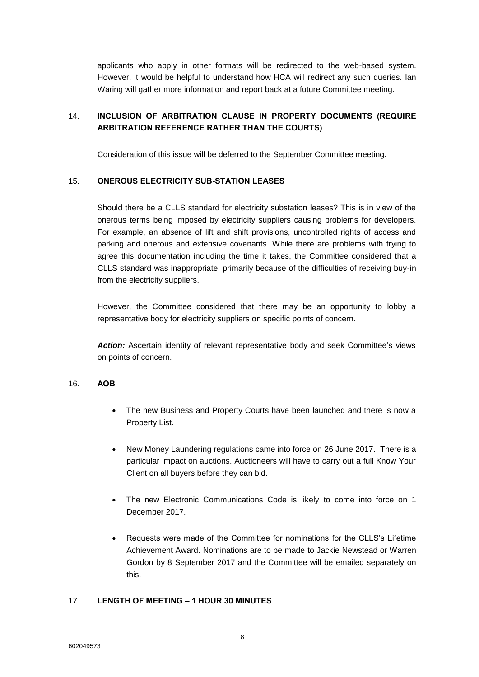applicants who apply in other formats will be redirected to the web-based system. However, it would be helpful to understand how HCA will redirect any such queries. Ian Waring will gather more information and report back at a future Committee meeting.

## 14. **INCLUSION OF ARBITRATION CLAUSE IN PROPERTY DOCUMENTS (REQUIRE ARBITRATION REFERENCE RATHER THAN THE COURTS)**

Consideration of this issue will be deferred to the September Committee meeting.

### 15. **ONEROUS ELECTRICITY SUB-STATION LEASES**

Should there be a CLLS standard for electricity substation leases? This is in view of the onerous terms being imposed by electricity suppliers causing problems for developers. For example, an absence of lift and shift provisions, uncontrolled rights of access and parking and onerous and extensive covenants. While there are problems with trying to agree this documentation including the time it takes, the Committee considered that a CLLS standard was inappropriate, primarily because of the difficulties of receiving buy-in from the electricity suppliers.

However, the Committee considered that there may be an opportunity to lobby a representative body for electricity suppliers on specific points of concern.

*Action:* Ascertain identity of relevant representative body and seek Committee's views on points of concern.

### 16. **AOB**

- The new Business and Property Courts have been launched and there is now a Property List.
- New Money Laundering regulations came into force on 26 June 2017. There is a particular impact on auctions. Auctioneers will have to carry out a full Know Your Client on all buyers before they can bid.
- The new Electronic Communications Code is likely to come into force on 1 December 2017.
- Requests were made of the Committee for nominations for the CLLS's Lifetime Achievement Award. Nominations are to be made to Jackie Newstead or Warren Gordon by 8 September 2017 and the Committee will be emailed separately on this.

### 17. **LENGTH OF MEETING – 1 HOUR 30 MINUTES**